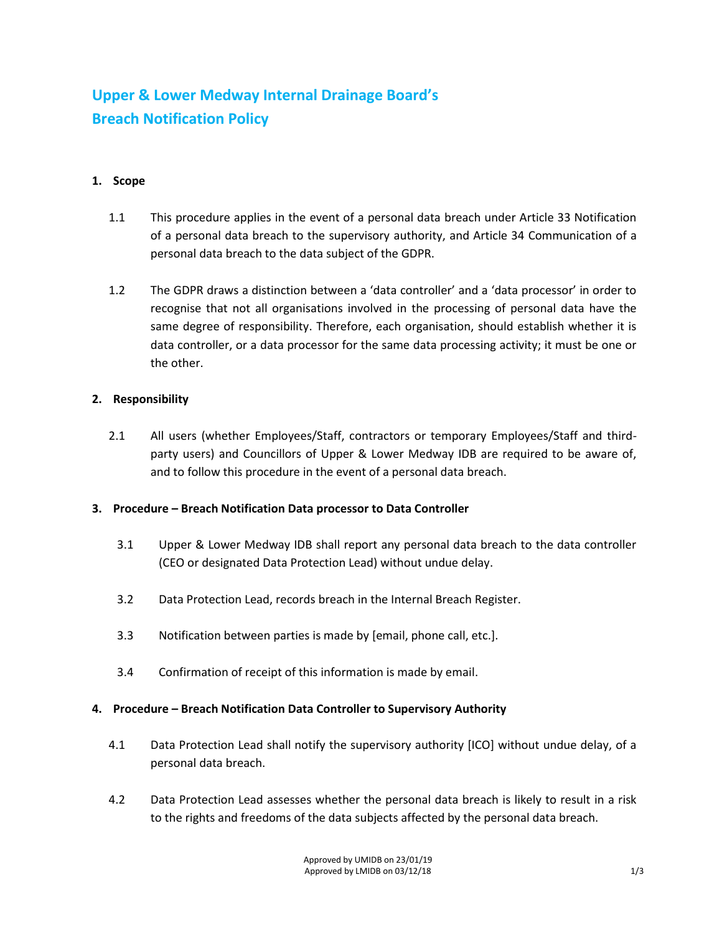# **Upper & Lower Medway Internal Drainage Board's Breach Notification Policy**

### **1. Scope**

- 1.1 This procedure applies in the event of a personal data breach under Article 33 Notification of a personal data breach to the supervisory authority, and Article 34 Communication of a personal data breach to the data subject of the GDPR.
- 1.2 The GDPR draws a distinction between a 'data controller' and a 'data processor' in order to recognise that not all organisations involved in the processing of personal data have the same degree of responsibility. Therefore, each organisation, should establish whether it is data controller, or a data processor for the same data processing activity; it must be one or the other.

#### **2. Responsibility**

2.1 All users (whether Employees/Staff, contractors or temporary Employees/Staff and thirdparty users) and Councillors of Upper & Lower Medway IDB are required to be aware of, and to follow this procedure in the event of a personal data breach.

#### **3. Procedure – Breach Notification Data processor to Data Controller**

- 3.1 Upper & Lower Medway IDB shall report any personal data breach to the data controller (CEO or designated Data Protection Lead) without undue delay.
- 3.2 Data Protection Lead, records breach in the Internal Breach Register.
- 3.3 Notification between parties is made by [email, phone call, etc.].
- 3.4 Confirmation of receipt of this information is made by email.

## **4. Procedure – Breach Notification Data Controller to Supervisory Authority**

- 4.1 Data Protection Lead shall notify the supervisory authority [ICO] without undue delay, of a personal data breach.
- 4.2 Data Protection Lead assesses whether the personal data breach is likely to result in a risk to the rights and freedoms of the data subjects affected by the personal data breach.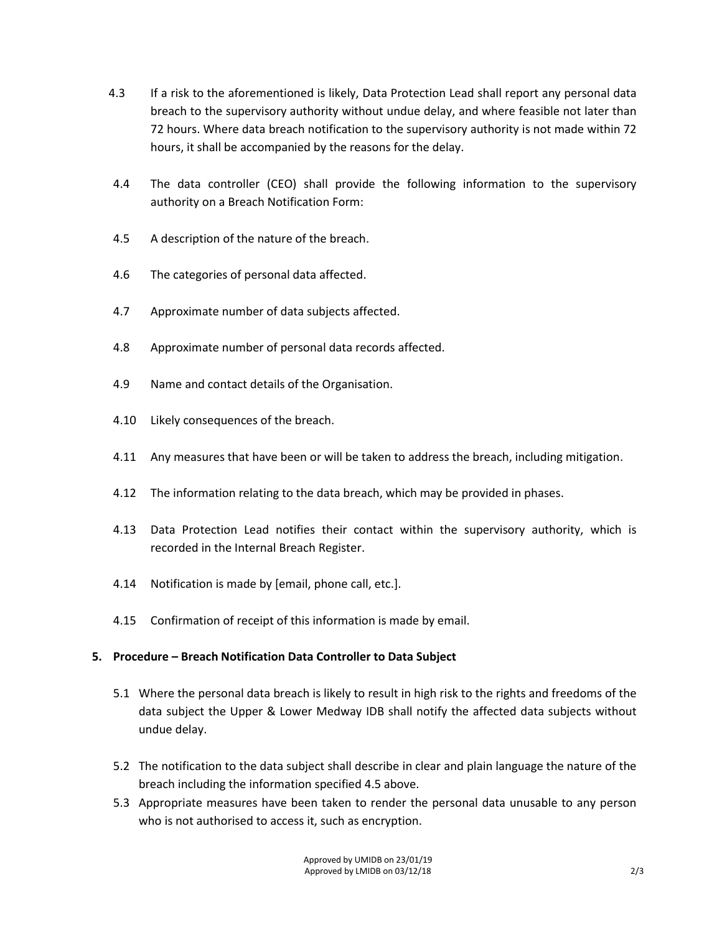- 4.3 If a risk to the aforementioned is likely, Data Protection Lead shall report any personal data breach to the supervisory authority without undue delay, and where feasible not later than 72 hours. Where data breach notification to the supervisory authority is not made within 72 hours, it shall be accompanied by the reasons for the delay.
- 4.4 The data controller (CEO) shall provide the following information to the supervisory authority on a Breach Notification Form:
- 4.5 A description of the nature of the breach.
- 4.6 The categories of personal data affected.
- 4.7 Approximate number of data subjects affected.
- 4.8 Approximate number of personal data records affected.
- 4.9 Name and contact details of the Organisation.
- 4.10 Likely consequences of the breach.
- 4.11 Any measures that have been or will be taken to address the breach, including mitigation.
- 4.12 The information relating to the data breach, which may be provided in phases.
- 4.13 Data Protection Lead notifies their contact within the supervisory authority, which is recorded in the Internal Breach Register.
- 4.14 Notification is made by [email, phone call, etc.].
- 4.15 Confirmation of receipt of this information is made by email.

#### **5. Procedure – Breach Notification Data Controller to Data Subject**

- 5.1 Where the personal data breach is likely to result in high risk to the rights and freedoms of the data subject the Upper & Lower Medway IDB shall notify the affected data subjects without undue delay.
- 5.2 The notification to the data subject shall describe in clear and plain language the nature of the breach including the information specified 4.5 above.
- 5.3 Appropriate measures have been taken to render the personal data unusable to any person who is not authorised to access it, such as encryption.